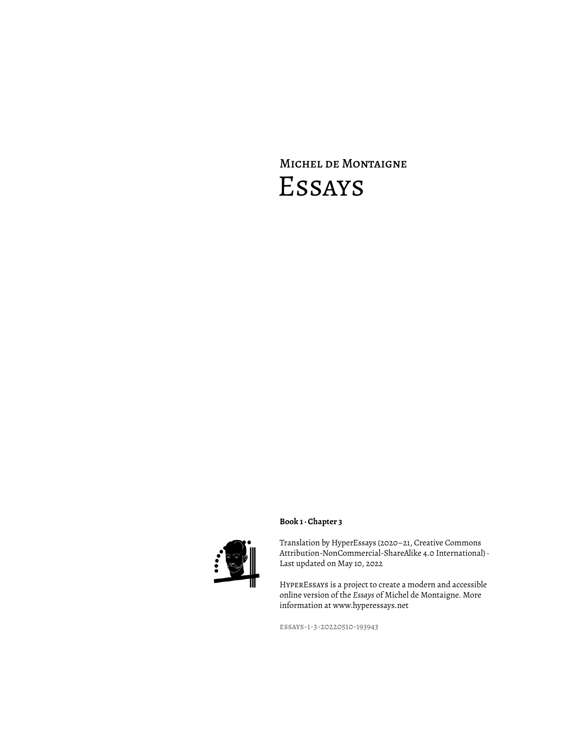# Michel de Montaigne Essays



# **Book 1 · Chapter 3**

Translation by HyperEssays (2020–21, Creative Commons Attribution-NonCommercial-ShareAlike 4.0 International) · Last updated on May 10, 2022

HyperEssays is a project to create a modern and accessible online version of the *Essays* of Michel de Montaigne. More information at www.hyperessays.net

essays-1-3-20220510-193943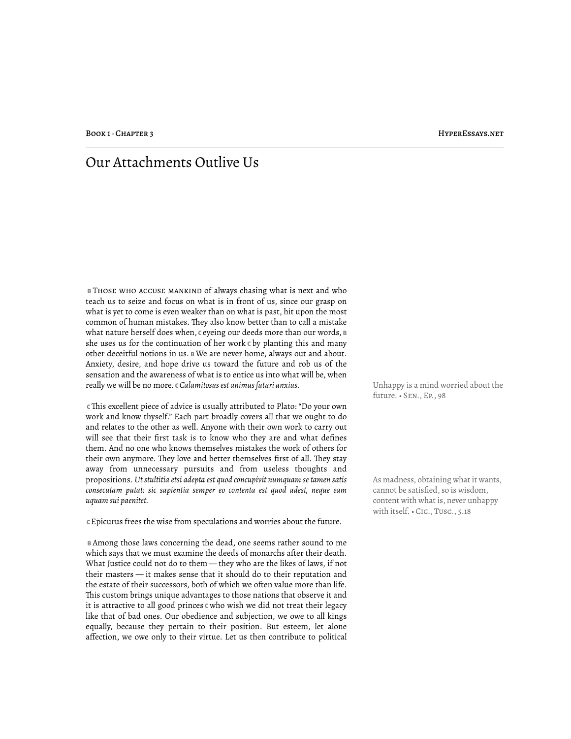# Our Attachments Outlive Us

 **B** Those who accuse mankind of always chasing what is next and who teach us to seize and focus on what is in front of us, since our grasp on what is yet to come is even weaker than on what is past, hit upon the most common of human mistakes. They also know better than to call a mistake what nature herself does when, c eyeing our deeds more than our words, **B** she uses us for the continuation of her work **C** by planting this and many other deceitful notions in us. **B** We are never home, always out and about. Anxiety, desire, and hope drive us toward the future and rob us of the sensation and the awareness of what is to entice us into what will be, when really we will be no more. **C** *Calamitosus est animus futuri anxius.* Unhappy is a mind worried about the

 **C** !is excellent piece of advice is usually attributed to Plato: "Do your own work and know thyself." Each part broadly covers all that we ought to do and relates to the other as well. Anyone with their own work to carry out will see that their first task is to know who they are and what defines them. And no one who knows themselves mistakes the work of others for their own anymore. They love and better themselves first of all. They stay away from unnecessary pursuits and from useless thoughts and propositions. *Ut stultitia etsi adepta est quod concupivit numquam se tamen satis consecutam putat: sic sapientia semper eo contenta est quod adest, neque eam uquam sui paenitet.*

 **C** Epicurus frees the wise from speculations and worries about the future.

 **B** Among those laws concerning the dead, one seems rather sound to me which says that we must examine the deeds of monarchs after their death. What Justice could not do to them — they who are the likes of laws, if not their masters — it makes sense that it should do to their reputation and the estate of their successors, both of which we often value more than life. This custom brings unique advantages to those nations that observe it and it is attractive to all good princes **C** who wish we did not treat their legacy like that of bad ones. Our obedience and subjection, we owe to all kings equally, because they pertain to their position. But esteem, let alone affection, we owe only to their virtue. Let us then contribute to political future. • Sen., Ep., 98

As madness, obtaining what it wants, cannot be satisfied, so is wisdom, content with what is, never unhappy with itself. • Cic., Tusc., 5.18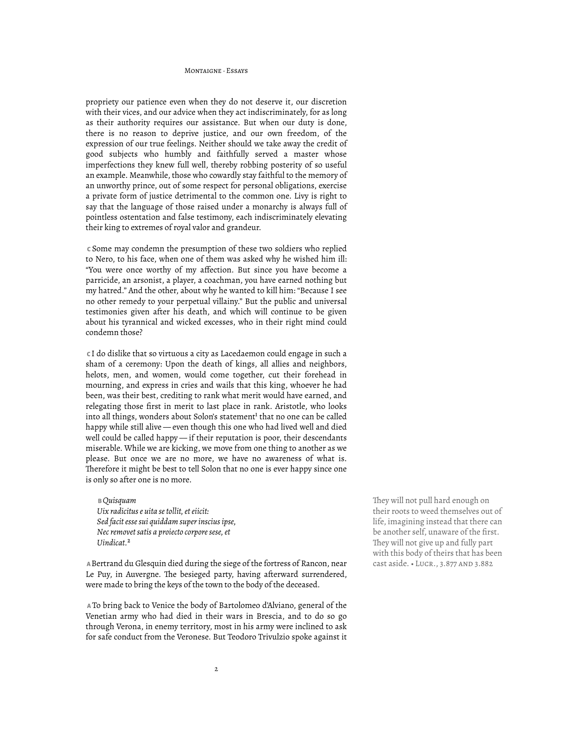#### MONTAIGNE · FESAVE

propriety our patience even when they do not deserve it, our discretion with their vices, and our advice when they act indiscriminately, for as long as their authority requires our assistance. But when our duty is done, there is no reason to deprive justice, and our own freedom, of the expression of our true feelings. Neither should we take away the credit of good subjects who humbly and faithfully served a master whose imperfections they knew full well, thereby robbing posterity of so useful an example. Meanwhile, those who cowardly stay faithful to the memory of an unworthy prince, out of some respect for personal obligations, exercise a private form of justice detrimental to the common one. Livy is right to say that the language of those raised under a monarchy is always full of pointless ostentation and false testimony, each indiscriminately elevating their king to extremes of royal valor and grandeur.

 **C** Some may condemn the presumption of these two soldiers who replied to Nero, to his face, when one of them was asked why he wished him ill: "You were once worthy of my affection. But since you have become a parricide, an arsonist, a player, a coachman, you have earned nothing but my hatred." And the other, about why he wanted to kill him: "Because I see no other remedy to your perpetual villainy." But the public and universal testimonies given after his death, and which will continue to be given about his tyrannical and wicked excesses, who in their right mind could condemn those?

 **C** I do dislike that so virtuous a city as Lacedaemon could engage in such a sham of a ceremony: Upon the death of kings, all allies and neighbors, helots, men, and women, would come together, cut their forehead in mourning, and express in cries and wails that this king, whoever he had been, was their best, crediting to rank what merit would have earned, and relegating those first in merit to last place in rank. Aristotle, who looks into all things, wonders about Solon's statement<sup>1</sup> that no one can be called happy while still alive — even though this one who had lived well and died well could be called happy — if their reputation is poor, their descendants miserable. While we are kicking, we move from one thing to another as we please. But once we are no more, we have no awareness of what is. Therefore it might be best to tell Solon that no one is ever happy since one is only so after one is no more.

 **B** *Quisquam Uix radicitus e uita se tollit, et eiicit: Sed facit esse sui quiddam super inscius ipse, Nec removet satis a proiecto corpore sese, et Uindicat.*²

**A Bertrand du Glesquin died during the siege of the fortress of Rancon, near** Le Puy, in Auvergne. The besieged party, having afterward surrendered, were made to bring the keys of the town to the body of the deceased.

 **A** To bring back to Venice the body of Bartolomeo d'Alviano, general of the Venetian army who had died in their wars in Brescia, and to do so go through Verona, in enemy territory, most in his army were inclined to ask for safe conduct from the Veronese. But Teodoro Trivulzio spoke against it They will not pull hard enough on their roots to weed themselves out of life, imagining instead that there can be another self, unaware of the first. They will not give up and fully part with this body of theirs that has been<br>cast aside. . LUCR., 3.877 AND 3.882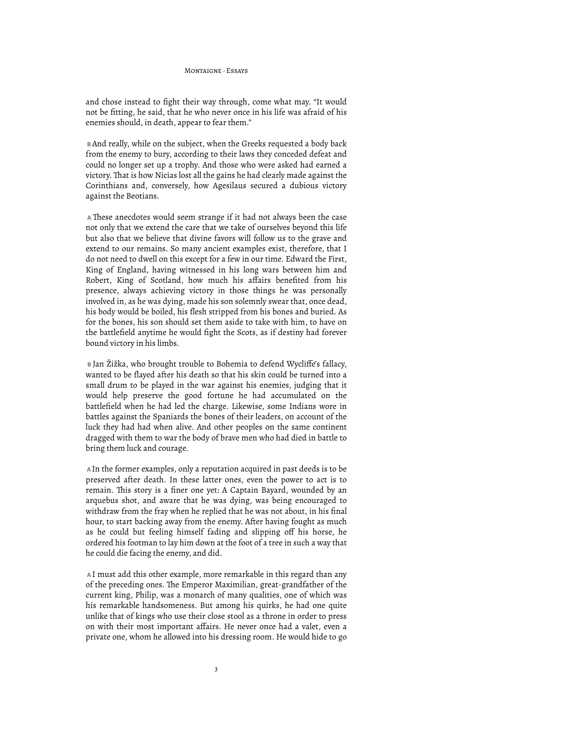#### MONTAIGNE, Feeave

and chose instead to fight their way through, come what may. "It would not be fitting, he said, that he who never once in his life was afraid of his enemies should, in death, appear to fear them."

 **B** And really, while on the subject, when the Greeks requested a body back from the enemy to bury, according to their laws they conceded defeat and could no longer set up a trophy. And those who were asked had earned a victory. That is how Nicias lost all the gains he had clearly made against the Corinthians and, conversely, how Agesilaus secured a dubious victory against the Beotians.

A These anecdotes would seem strange if it had not always been the case not only that we extend the care that we take of ourselves beyond this life but also that we believe that divine favors will follow us to the grave and extend to our remains. So many ancient examples exist, therefore, that I do not need to dwell on this except for a few in our time. Edward the First, King of England, having witnessed in his long wars between him and Robert, King of Scotland, how much his affairs benefited from his presence, always achieving victory in those things he was personally involved in, as he was dying, made his son solemnly swear that, once dead, his body would be boiled, his flesh stripped from his bones and buried. As for the bones, his son should set them aside to take with him, to have on the battlefield anytime he would fight the Scots, as if destiny had forever bound victory in his limbs.

 **B** Jan Žižka, who brought trouble to Bohemia to defend Wycliffe's fallacy, wanted to be flayed after his death so that his skin could be turned into a small drum to be played in the war against his enemies, judging that it would help preserve the good fortune he had accumulated on the battlefield when he had led the charge. Likewise, some Indians wore in battles against the Spaniards the bones of their leaders, on account of the luck they had had when alive. And other peoples on the same continent dragged with them to war the body of brave men who had died in battle to bring them luck and courage.

 **A** In the former examples, only a reputation acquired in past deeds is to be preserved after death. In these latter ones, even the power to act is to remain. This story is a finer one yet: A Captain Bayard, wounded by an arquebus shot, and aware that he was dying, was being encouraged to withdraw from the fray when he replied that he was not about, in his final hour, to start backing away from the enemy. After having fought as much as he could but feeling himself fading and slipping off his horse, he ordered his footman to lay him down at the foot of a tree in such a way that he could die facing the enemy, and did.

 **A** I must add this other example, more remarkable in this regard than any of the preceding ones. The Emperor Maximilian, great-grandfather of the current king, Philip, was a monarch of many qualities, one of which was his remarkable handsomeness. But among his quirks, he had one quite unlike that of kings who use their close stool as a throne in order to press on with their most important affairs. He never once had a valet, even a private one, whom he allowed into his dressing room. He would hide to go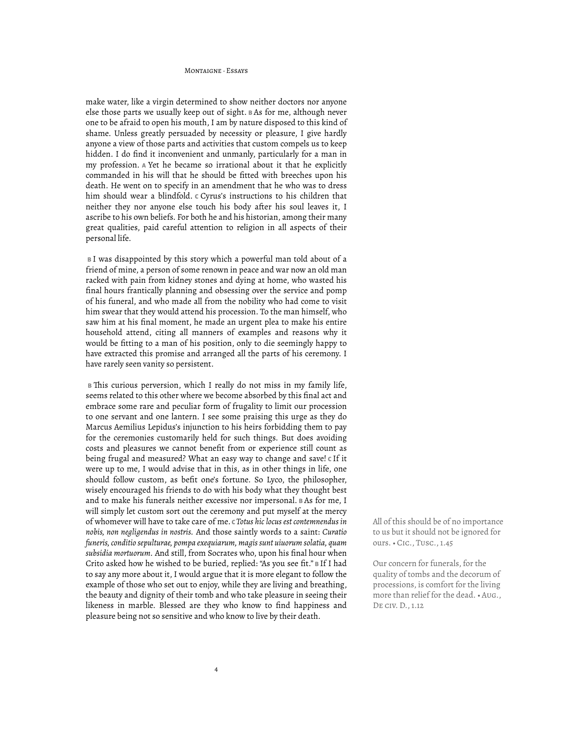#### MONTAIGNE, Feeave

make water, like a virgin determined to show neither doctors nor anyone else those parts we usually keep out of sight. **B** As for me, although never one to be afraid to open his mouth, I am by nature disposed to this kind of shame. Unless greatly persuaded by necessity or pleasure, I give hardly anyone a view of those parts and activities that custom compels us to keep hidden. I do find it inconvenient and unmanly, particularly for a man in my profession. **A** Yet he became so irrational about it that he explicitly commanded in his will that he should be fitted with breeches upon his death. He went on to specify in an amendment that he who was to dress him should wear a blindfold. **C** Cyrus's instructions to his children that neither they nor anyone else touch his body after his soul leaves it, I ascribe to his own beliefs. For both he and his historian, among their many great qualities, paid careful attention to religion in all aspects of their personal life.

 **B** I was disappointed by this story which a powerful man told about of a friend of mine, a person of some renown in peace and war now an old man racked with pain from kidney stones and dying at home, who wasted his final hours frantically planning and obsessing over the service and pomp of his funeral, and who made all from the nobility who had come to visit him swear that they would attend his procession. To the man himself, who saw him at his final moment, he made an urgent plea to make his entire household attend, citing all manners of examples and reasons why it would be fitting to a man of his position, only to die seemingly happy to have extracted this promise and arranged all the parts of his ceremony. I have rarely seen vanity so persistent.

**B** This curious perversion, which I really do not miss in my family life, seems related to this other where we become absorbed by this final act and embrace some rare and peculiar form of frugality to limit our procession to one servant and one lantern. I see some praising this urge as they do Marcus Aemilius Lepidus's injunction to his heirs forbidding them to pay for the ceremonies customarily held for such things. But does avoiding costs and pleasures we cannot benefit from or experience still count as being frugal and measured? What an easy way to change and save! **C** If it were up to me, I would advise that in this, as in other things in life, one should follow custom, as befit one's fortune. So Lyco, the philosopher, wisely encouraged his friends to do with his body what they thought best and to make his funerals neither excessive nor impersonal. **B** As for me, I will simply let custom sort out the ceremony and put myself at the mercy of whomever will have to take care of me. **C** *Totus hic locus est contemnendus in nobis, non negligendus in nostris.* And those saintly words to a saint: *Curatio funeris, conditio sepulturae, pompa exequiarum, magis sunt uiuorum solatia, quam subsidia mortuorum.* And still, from Socrates who, upon his final hour when Crito asked how he wished to be buried, replied: "As you see fit." **B** If I had to say any more about it, I would argue that it is more elegant to follow the example of those who set out to enjoy, while they are living and breathing, the beauty and dignity of their tomb and who take pleasure in seeing their likeness in marble. Blessed are they who know to find happiness and pleasure being not so sensitive and who know to live by their death.

All of this should be of no importance to us but it should not be ignored for ours. • Cic., Tusc., 1.45

Our concern for funerals, for the quality of tombs and the decorum of processions, is comfort for the living more than relief for the dead. • Aug., De civ. D., 1.12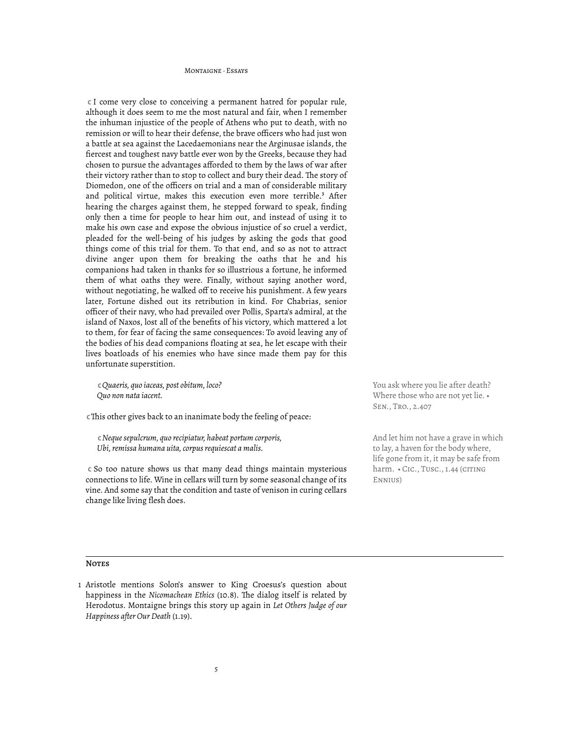#### MONTAIGNE, Feeave

 **C** I come very close to conceiving a permanent hatred for popular rule, although it does seem to me the most natural and fair, when I remember the inhuman injustice of the people of Athens who put to death, with no remission or will to hear their defense, the brave officers who had just won a battle at sea against the Lacedaemonians near the Arginusae islands, the fiercest and toughest navy battle ever won by the Greeks, because they had chosen to pursue the advantages afforded to them by the laws of war after their victory rather than to stop to collect and bury their dead. The story of Diomedon, one of the officers on trial and a man of considerable military and political virtue, makes this execution even more terrible.<sup>3</sup> After hearing the charges against them, he stepped forward to speak, finding only then a time for people to hear him out, and instead of using it to make his own case and expose the obvious injustice of so cruel a verdict, pleaded for the well-being of his judges by asking the gods that good things come of this trial for them. To that end, and so as not to attract divine anger upon them for breaking the oaths that he and his companions had taken in thanks for so illustrious a fortune, he informed them of what oaths they were. Finally, without saying another word, without negotiating, he walked off to receive his punishment. A few years later, Fortune dished out its retribution in kind. For Chabrias, senior officer of their navy, who had prevailed over Pollis, Sparta's admiral, at the island of Naxos, lost all of the benefits of his victory, which mattered a lot to them, for fear of facing the same consequences: To avoid leaving any of the bodies of his dead companions floating at sea, he let escape with their lives boatloads of his enemies who have since made them pay for this unfortunate superstition.

 **C** *Quaeris, quo iaceas, post obitum, loco? Quo non nata iacent.*

**c** This other gives back to an inanimate body the feeling of peace:

 **C** *Neque sepulcrum, quo recipiatur, habeat portum corporis, Ubi, remissa humana uita, corpus requiescat a malis.*

 **C** So too nature shows us that many dead things maintain mysterious connections to life. Wine in cellars will turn by some seasonal change of its vine. And some say that the condition and taste of venison in curing cellars change like living flesh does.

You ask where you lie after death? Where those who are not yet lie. • Sen., Tro., 2.407

And let him not have a grave in which to lay, a haven for the body where, life gone from it, it may be safe from harm. • CIC., TUSC., 1.44 (CITING Ennius)

#### **NOTES**

<sup>1</sup> Aristotle mentions Solon's answer to King Croesus's question about happiness in the *Nicomachean Ethics* (10.8). The dialog itself is related by Herodotus. Montaigne brings this story up again in *Let Others Judge of our Happiness after Our Death* (1.19).